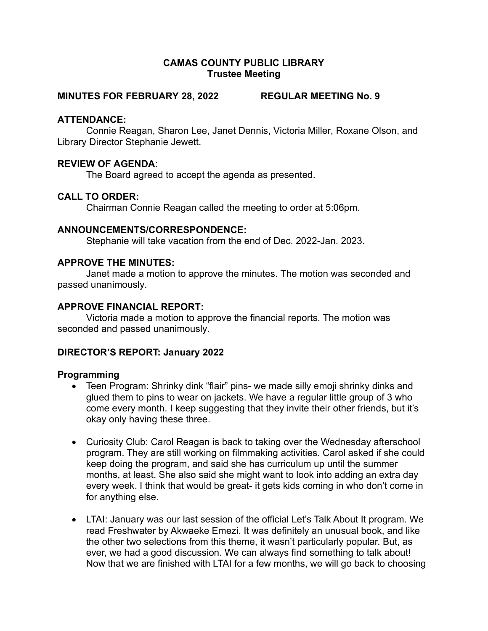# CAMAS COUNTY PUBLIC LIBRARY Trustee Meeting

#### MINUTES FOR FEBRUARY 28, 2022 REGULAR MEETING No. 9

### ATTENDANCE:

Connie Reagan, Sharon Lee, Janet Dennis, Victoria Miller, Roxane Olson, and Library Director Stephanie Jewett.

### REVIEW OF AGENDA:

The Board agreed to accept the agenda as presented.

### CALL TO ORDER:

Chairman Connie Reagan called the meeting to order at 5:06pm.

#### ANNOUNCEMENTS/CORRESPONDENCE:

Stephanie will take vacation from the end of Dec. 2022-Jan. 2023.

#### APPROVE THE MINUTES:

Janet made a motion to approve the minutes. The motion was seconded and passed unanimously.

### APPROVE FINANCIAL REPORT:

Victoria made a motion to approve the financial reports. The motion was seconded and passed unanimously.

# DIRECTOR'S REPORT: January 2022

#### Programming

- Teen Program: Shrinky dink "flair" pins- we made silly emoji shrinky dinks and glued them to pins to wear on jackets. We have a regular little group of 3 who come every month. I keep suggesting that they invite their other friends, but it's okay only having these three.
- Curiosity Club: Carol Reagan is back to taking over the Wednesday afterschool program. They are still working on filmmaking activities. Carol asked if she could keep doing the program, and said she has curriculum up until the summer months, at least. She also said she might want to look into adding an extra day every week. I think that would be great- it gets kids coming in who don't come in for anything else.
- LTAI: January was our last session of the official Let's Talk About It program. We read Freshwater by Akwaeke Emezi. It was definitely an unusual book, and like the other two selections from this theme, it wasn't particularly popular. But, as ever, we had a good discussion. We can always find something to talk about! Now that we are finished with LTAI for a few months, we will go back to choosing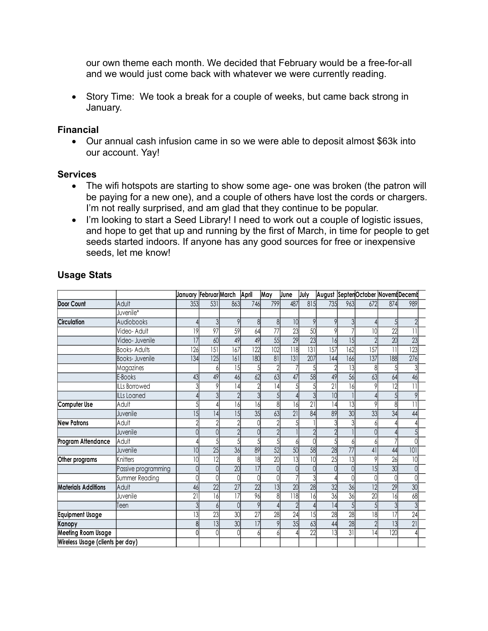our own theme each month. We decided that February would be a free-for-all and we would just come back with whatever we were currently reading.

# Financial

### **Services**

- The wifi hotspots are starting to show some age- one was broken (the patron will be paying for a new one), and a couple of others have lost the cords or chargers. I'm not really surprised, and am glad that they continue to be popular.
- I'm looking to start a Seed Library! I need to work out a couple of logistic issues, and hope to get that up and running by the first of March, in time for people to get seeds started indoors. If anyone has any good sources for free or inexpensive seeds, let me know!

| January.                         | Story Time: We took a break for a couple of weeks, but came back strong in                                                                                                                                                                                                                                                                                                                                                                                                                                                               |                             |                 |     |                 |                 |                 |      |                 |                 |                  |                  |                                   |
|----------------------------------|------------------------------------------------------------------------------------------------------------------------------------------------------------------------------------------------------------------------------------------------------------------------------------------------------------------------------------------------------------------------------------------------------------------------------------------------------------------------------------------------------------------------------------------|-----------------------------|-----------------|-----|-----------------|-----------------|-----------------|------|-----------------|-----------------|------------------|------------------|-----------------------------------|
| <b>Financial</b>                 |                                                                                                                                                                                                                                                                                                                                                                                                                                                                                                                                          |                             |                 |     |                 |                 |                 |      |                 |                 |                  |                  |                                   |
|                                  |                                                                                                                                                                                                                                                                                                                                                                                                                                                                                                                                          |                             |                 |     |                 |                 |                 |      |                 |                 |                  |                  |                                   |
|                                  | Our annual cash infusion came in so we were able to deposit almost \$63k into<br>our account. Yay!                                                                                                                                                                                                                                                                                                                                                                                                                                       |                             |                 |     |                 |                 |                 |      |                 |                 |                  |                  |                                   |
| <b>Services</b>                  |                                                                                                                                                                                                                                                                                                                                                                                                                                                                                                                                          |                             |                 |     |                 |                 |                 |      |                 |                 |                  |                  |                                   |
| $\bullet$                        | The wifi hotspots are starting to show some age- one was broken (the patron will<br>be paying for a new one), and a couple of others have lost the cords or chargers.<br>I'm not really surprised, and am glad that they continue to be popular.<br>I'm looking to start a Seed Library! I need to work out a couple of logistic issues,<br>and hope to get that up and running by the first of March, in time for people to get<br>seeds started indoors. If anyone has any good sources for free or inexpensive<br>seeds, let me know! |                             |                 |     |                 |                 |                 |      |                 |                 |                  |                  |                                   |
|                                  |                                                                                                                                                                                                                                                                                                                                                                                                                                                                                                                                          |                             |                 |     |                 |                 |                 |      |                 |                 |                  |                  |                                   |
| <b>Usage Stats</b>               |                                                                                                                                                                                                                                                                                                                                                                                                                                                                                                                                          |                             |                 |     |                 |                 |                 |      |                 |                 |                  |                  |                                   |
|                                  |                                                                                                                                                                                                                                                                                                                                                                                                                                                                                                                                          | January Februar March April |                 |     |                 | May             | June            | July |                 |                 |                  |                  | August SeptenOctober Novem Decemb |
| <b>Door Count</b>                | Adult                                                                                                                                                                                                                                                                                                                                                                                                                                                                                                                                    | 353                         | 531             | 863 | 746             | 799             | 487             | 815  | 735             | 963             | 672              | 874              | 989                               |
|                                  | Juvenile*                                                                                                                                                                                                                                                                                                                                                                                                                                                                                                                                |                             |                 |     |                 |                 |                 |      |                 |                 |                  |                  |                                   |
| <b>Circulation</b>               | Audiobooks                                                                                                                                                                                                                                                                                                                                                                                                                                                                                                                               |                             |                 |     |                 | 8               | 101             |      |                 |                 |                  |                  |                                   |
|                                  | Video- Adult                                                                                                                                                                                                                                                                                                                                                                                                                                                                                                                             | 9                           | 97              | 59  | 64              | $\overline{77}$ | 23              | 50   |                 |                 | 10 <sup>1</sup>  | 22               |                                   |
|                                  | Video- Juvenile                                                                                                                                                                                                                                                                                                                                                                                                                                                                                                                          | 17                          | 60              | 49  | 49              | 55              | $\overline{29}$ | 23   | 16              | 15              |                  | $\overline{20}$  | 23                                |
|                                  | <b>Books-Adults</b>                                                                                                                                                                                                                                                                                                                                                                                                                                                                                                                      | 126                         | 5               | 167 | 122             | 102             | 118             | 31   | 157             | 162             | $\overline{157}$ | $\overline{11}$  | $\overline{123}$                  |
|                                  | <b>Books-Juvenile</b>                                                                                                                                                                                                                                                                                                                                                                                                                                                                                                                    | 134                         | 125             | 161 | 180             | 81              | 31              | 207  | 144             | 166             | 137              | 188              | 276                               |
|                                  | Magazines                                                                                                                                                                                                                                                                                                                                                                                                                                                                                                                                |                             |                 | 15  |                 |                 |                 |      |                 | 13              | 8                |                  | $\overline{\mathcal{E}}$          |
|                                  | E-Books                                                                                                                                                                                                                                                                                                                                                                                                                                                                                                                                  | 43                          | 49              | 46  | 62              | 63              | 47              | 58   | 49              | 56              | 63               | 64               | 46                                |
|                                  | <b>ILLs Borrowed</b>                                                                                                                                                                                                                                                                                                                                                                                                                                                                                                                     |                             |                 | 14  |                 | 14              |                 |      | 21              | 16              |                  |                  |                                   |
|                                  | <b>ILLs Loaned</b>                                                                                                                                                                                                                                                                                                                                                                                                                                                                                                                       |                             |                 |     |                 |                 |                 |      | 10              |                 |                  |                  |                                   |
| Computer Use                     | Adult                                                                                                                                                                                                                                                                                                                                                                                                                                                                                                                                    |                             |                 | 16  | 16              | 8               | 16              | 21   | 4               | 13              |                  |                  | 1                                 |
| <b>New Patrons</b>               | Juvenile                                                                                                                                                                                                                                                                                                                                                                                                                                                                                                                                 | 15                          | 4               | 15  | 35              | 63              | 21              | 84   | 89              | 30              | 33               | 34               | 44                                |
|                                  | Adult                                                                                                                                                                                                                                                                                                                                                                                                                                                                                                                                    |                             |                 |     |                 |                 |                 |      |                 |                 |                  |                  |                                   |
| Program Attendance Adult         | Juvenile                                                                                                                                                                                                                                                                                                                                                                                                                                                                                                                                 |                             |                 |     |                 |                 |                 |      |                 |                 |                  |                  |                                   |
|                                  | Juvenile                                                                                                                                                                                                                                                                                                                                                                                                                                                                                                                                 | 10 <sup>1</sup>             | $\overline{25}$ | 36  | 89              | 52              | 50              | 58   | 28              | 77              | 41               | 44               | νı<br> 01                         |
| Other programs                   | <b>Knitters</b>                                                                                                                                                                                                                                                                                                                                                                                                                                                                                                                          |                             | $\overline{12}$ |     | 18              | $\overline{20}$ | $\overline{13}$ |      | 25              | $\overline{13}$ |                  | $\overline{26}$  | 10 <sup>1</sup>                   |
|                                  | Passive programming                                                                                                                                                                                                                                                                                                                                                                                                                                                                                                                      |                             |                 | 20  | 17              | 0               |                 |      |                 |                 | 15               | 30               |                                   |
|                                  | Summer Reading                                                                                                                                                                                                                                                                                                                                                                                                                                                                                                                           |                             |                 |     |                 | $\Omega$        |                 |      |                 |                 |                  |                  |                                   |
| <b>Materials Additions</b>       | Adult                                                                                                                                                                                                                                                                                                                                                                                                                                                                                                                                    | 46                          | 22              | 27  | 22              | 13              | 20              | 28   | 32              | 36              | $\overline{12}$  | 29               | 30                                |
|                                  | Juvenile                                                                                                                                                                                                                                                                                                                                                                                                                                                                                                                                 | 21                          | 16              | 17  | 96              |                 | 118             |      | 36              | $\overline{36}$ | $\overline{20}$  | 16               | 68                                |
|                                  | Teen                                                                                                                                                                                                                                                                                                                                                                                                                                                                                                                                     |                             |                 |     |                 |                 |                 |      | $\overline{14}$ |                 |                  |                  | $\overline{3}$                    |
| <b>Equipment Usage</b>           |                                                                                                                                                                                                                                                                                                                                                                                                                                                                                                                                          |                             | 23              | 30  | $\overline{27}$ | 28              | 24              |      | 28              | 28              | $\overline{18}$  | 17               | 24                                |
| Kanopy                           |                                                                                                                                                                                                                                                                                                                                                                                                                                                                                                                                          |                             | $\overline{13}$ | 30  | 17              |                 | 35              | 63   | 44              | 28              |                  |                  | 21                                |
| <b>Meeting Room Usage</b>        |                                                                                                                                                                                                                                                                                                                                                                                                                                                                                                                                          |                             |                 |     |                 |                 |                 | 22   | $\overline{13}$ | $\overline{31}$ | 4                | $\overline{120}$ |                                   |
| Wireless Usage (clients per day) |                                                                                                                                                                                                                                                                                                                                                                                                                                                                                                                                          |                             |                 |     |                 |                 |                 |      |                 |                 |                  |                  |                                   |
|                                  |                                                                                                                                                                                                                                                                                                                                                                                                                                                                                                                                          |                             |                 |     |                 |                 |                 |      |                 |                 |                  |                  |                                   |

# Usage Stats